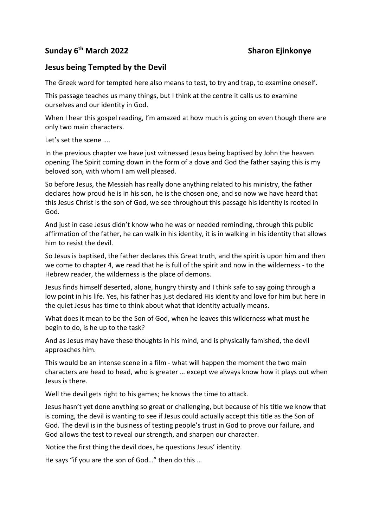## **Sunday 6th March 2022 Sharon Ejinkonye**

## **Jesus being Tempted by the Devil**

The Greek word for tempted here also means to test, to try and trap, to examine oneself.

This passage teaches us many things, but I think at the centre it calls us to examine ourselves and our identity in God.

When I hear this gospel reading, I'm amazed at how much is going on even though there are only two main characters.

Let's set the scene ….

In the previous chapter we have just witnessed Jesus being baptised by John the heaven opening The Spirit coming down in the form of a dove and God the father saying this is my beloved son, with whom I am well pleased.

So before Jesus, the Messiah has really done anything related to his ministry, the father declares how proud he is in his son, he is the chosen one, and so now we have heard that this Jesus Christ is the son of God, we see throughout this passage his identity is rooted in God.

And just in case Jesus didn't know who he was or needed reminding, through this public affirmation of the father, he can walk in his identity, it is in walking in his identity that allows him to resist the devil.

So Jesus is baptised, the father declares this Great truth, and the spirit is upon him and then we come to chapter 4, we read that he is full of the spirit and now in the wilderness - to the Hebrew reader, the wilderness is the place of demons.

Jesus finds himself deserted, alone, hungry thirsty and I think safe to say going through a low point in his life. Yes, his father has just declared His identity and love for him but here in the quiet Jesus has time to think about what that identity actually means.

What does it mean to be the Son of God, when he leaves this wilderness what must he begin to do, is he up to the task?

And as Jesus may have these thoughts in his mind, and is physically famished, the devil approaches him.

This would be an intense scene in a film - what will happen the moment the two main characters are head to head, who is greater … except we always know how it plays out when Jesus is there.

Well the devil gets right to his games; he knows the time to attack.

Jesus hasn't yet done anything so great or challenging, but because of his title we know that is coming, the devil is wanting to see if Jesus could actually accept this title as the Son of God. The devil is in the business of testing people's trust in God to prove our failure, and God allows the test to reveal our strength, and sharpen our character.

Notice the first thing the devil does, he questions Jesus' identity.

He says "if you are the son of God…" then do this …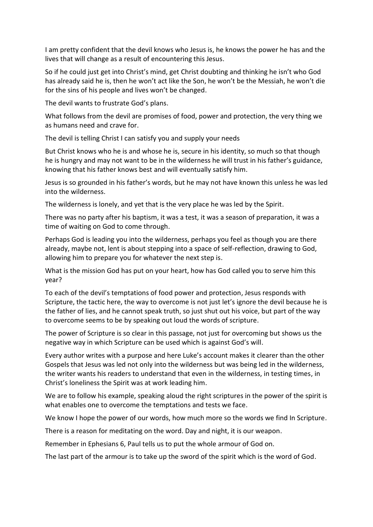I am pretty confident that the devil knows who Jesus is, he knows the power he has and the lives that will change as a result of encountering this Jesus.

So if he could just get into Christ's mind, get Christ doubting and thinking he isn't who God has already said he is, then he won't act like the Son, he won't be the Messiah, he won't die for the sins of his people and lives won't be changed.

The devil wants to frustrate God's plans.

What follows from the devil are promises of food, power and protection, the very thing we as humans need and crave for.

The devil is telling Christ I can satisfy you and supply your needs

But Christ knows who he is and whose he is, secure in his identity, so much so that though he is hungry and may not want to be in the wilderness he will trust in his father's guidance, knowing that his father knows best and will eventually satisfy him.

Jesus is so grounded in his father's words, but he may not have known this unless he was led into the wilderness.

The wilderness is lonely, and yet that is the very place he was led by the Spirit.

There was no party after his baptism, it was a test, it was a season of preparation, it was a time of waiting on God to come through.

Perhaps God is leading you into the wilderness, perhaps you feel as though you are there already, maybe not, lent is about stepping into a space of self-reflection, drawing to God, allowing him to prepare you for whatever the next step is.

What is the mission God has put on your heart, how has God called you to serve him this year?

To each of the devil's temptations of food power and protection, Jesus responds with Scripture, the tactic here, the way to overcome is not just let's ignore the devil because he is the father of lies, and he cannot speak truth, so just shut out his voice, but part of the way to overcome seems to be by speaking out loud the words of scripture.

The power of Scripture is so clear in this passage, not just for overcoming but shows us the negative way in which Scripture can be used which is against God's will.

Every author writes with a purpose and here Luke's account makes it clearer than the other Gospels that Jesus was led not only into the wilderness but was being led in the wilderness, the writer wants his readers to understand that even in the wilderness, in testing times, in Christ's loneliness the Spirit was at work leading him.

We are to follow his example, speaking aloud the right scriptures in the power of the spirit is what enables one to overcome the temptations and tests we face.

We know I hope the power of our words, how much more so the words we find In Scripture.

There is a reason for meditating on the word. Day and night, it is our weapon.

Remember in Ephesians 6, Paul tells us to put the whole armour of God on.

The last part of the armour is to take up the sword of the spirit which is the word of God.